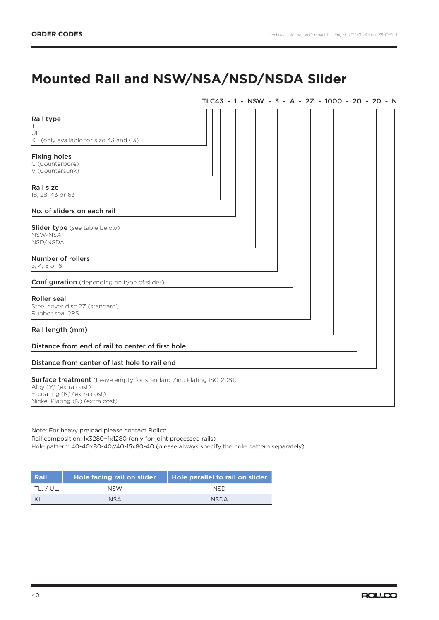## **Mounted Rail and NSW/NSA/NSD/NSDA Slider**

|                                                                                                                                                                     | TLC43 - 1 - NSW - 3 - A - 2Z - 1000 - 20 - 20 - N |
|---------------------------------------------------------------------------------------------------------------------------------------------------------------------|---------------------------------------------------|
| Rail type<br>TL.<br>UL<br>KL (only available for size 43 and 63)                                                                                                    |                                                   |
| <b>Fixing holes</b><br>C (Counterbore)<br>V (Countersunk)                                                                                                           |                                                   |
| Rail size<br>18, 28, 43 or 63                                                                                                                                       |                                                   |
| No. of sliders on each rail                                                                                                                                         |                                                   |
| <b>Slider type</b> (see table below)<br>NSW/NSA<br>NSD/NSDA                                                                                                         |                                                   |
| Number of rollers<br>3, 4, 5 or 6                                                                                                                                   |                                                   |
| <b>Configuration</b> (depending on type of slider)                                                                                                                  |                                                   |
| <b>Roller</b> seal<br>Steel cover disc 2Z (standard)<br>Rubber seal 2RS                                                                                             |                                                   |
| Rail length (mm)                                                                                                                                                    |                                                   |
| Distance from end of rail to center of first hole                                                                                                                   |                                                   |
| Distance from center of last hole to rail end                                                                                                                       |                                                   |
| <b>Surface treatment</b> (Leave empty for standard Zinc Plating ISO 2081)<br>Aloy (Y) (extra cost)<br>E-coating (K) (extra cost)<br>Nickel Plating (N) (extra cost) |                                                   |

Note: For heavy preload please contact Rollco Rail composition: 1x3280+1x1280 (only for joint processed rails) Hole pattern: 40-40x80-40//40-15x80-40 (please always specify the hole pattern separately)

| Rail      | Hole facing rail on slider | Hole parallel to rail on slider |
|-----------|----------------------------|---------------------------------|
| TL. / UL. | <b>NSW</b>                 | NSD.                            |
|           | <b>NSA</b>                 | <b>NSDA</b>                     |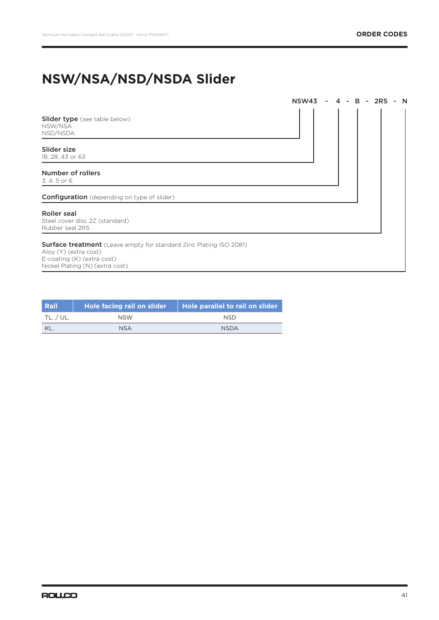# **NSW/NSA/NSD/NSDA Slider**

|                                                                                                                                                                     | NSW43 | $4 -$ |  | B - 2RS | $- N$ |  |
|---------------------------------------------------------------------------------------------------------------------------------------------------------------------|-------|-------|--|---------|-------|--|
| <b>Slider type</b> (see table below)<br>NSW/NSA<br>NSD/NSDA                                                                                                         |       |       |  |         |       |  |
| Slider size<br>18, 28, 43 or 63                                                                                                                                     |       |       |  |         |       |  |
| Number of rollers<br>3, 4, 5 or 6                                                                                                                                   |       |       |  |         |       |  |
| <b>Configuration</b> (depending on type of slider)                                                                                                                  |       |       |  |         |       |  |
| Roller seal<br>Steel cover disc 2Z (standard)<br>Rubber seal 2RS                                                                                                    |       |       |  |         |       |  |
| <b>Surface treatment</b> (Leave empty for standard Zinc Plating ISO 2081)<br>Aloy (Y) (extra cost)<br>E-coating (K) (extra cost)<br>Nickel Plating (N) (extra cost) |       |       |  |         |       |  |

| <b>Rail</b> | Hole facing rail on slider | Hole parallel to rail on slider |
|-------------|----------------------------|---------------------------------|
| TL. / UL.   | <b>NSW</b>                 | <b>NSD</b>                      |
| KL          | <b>NSA</b>                 | <b>NSDA</b>                     |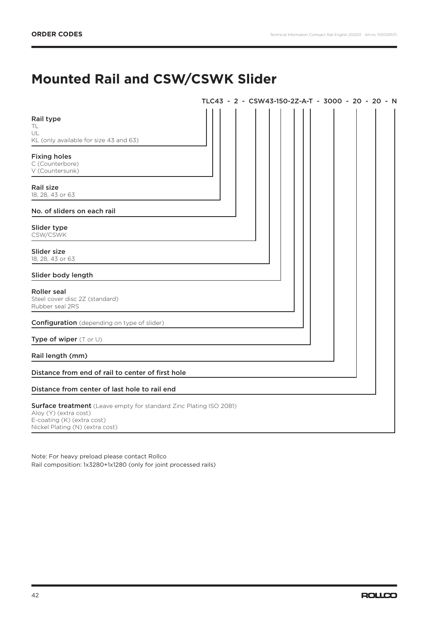## **Mounted Rail and CSW/CSWK Slider**

|                                                                                                                                                              | TLC43 - 2 - CSW43-150-2Z-A-T - 3000 - 20 - 20 - N |  |  |  |  |  |
|--------------------------------------------------------------------------------------------------------------------------------------------------------------|---------------------------------------------------|--|--|--|--|--|
| Rail type<br>TL<br>UL<br>KL (only available for size 43 and 63)                                                                                              |                                                   |  |  |  |  |  |
| <b>Fixing holes</b><br>C (Counterbore)<br>V (Countersunk)                                                                                                    |                                                   |  |  |  |  |  |
| Rail size<br>18, 28, 43 or 63                                                                                                                                |                                                   |  |  |  |  |  |
| No. of sliders on each rail                                                                                                                                  |                                                   |  |  |  |  |  |
| Slider type<br>CSW/CSWK                                                                                                                                      |                                                   |  |  |  |  |  |
| Slider size<br>18, 28, 43 or 63                                                                                                                              |                                                   |  |  |  |  |  |
| Slider body length                                                                                                                                           |                                                   |  |  |  |  |  |
| <b>Roller</b> seal<br>Steel cover disc 2Z (standard)<br>Rubber seal 2RS                                                                                      |                                                   |  |  |  |  |  |
| <b>Configuration</b> (depending on type of slider)                                                                                                           |                                                   |  |  |  |  |  |
| Type of wiper (T or U)                                                                                                                                       |                                                   |  |  |  |  |  |
| Rail length (mm)                                                                                                                                             |                                                   |  |  |  |  |  |
| Distance from end of rail to center of first hole                                                                                                            |                                                   |  |  |  |  |  |
| Distance from center of last hole to rail end                                                                                                                |                                                   |  |  |  |  |  |
| Surface treatment (Leave empty for standard Zinc Plating ISO 2081)<br>Aloy (Y) (extra cost)<br>E-coating (K) (extra cost)<br>Nickel Plating (N) (extra cost) |                                                   |  |  |  |  |  |

Note: For heavy preload please contact Rollco Rail composition: 1x3280+1x1280 (only for joint processed rails)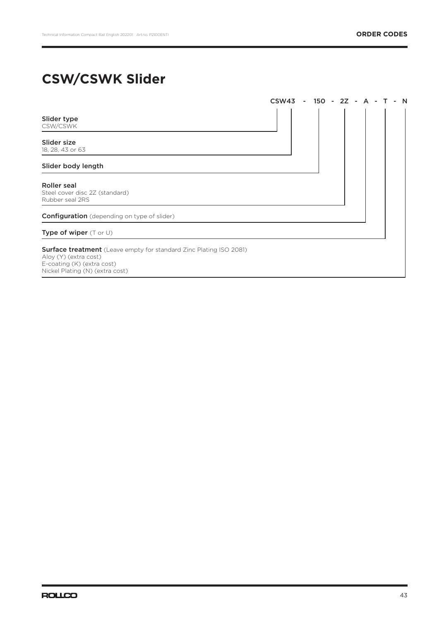## **CSW/CSWK Slider**

|                                                                                                                                                                     | CSW43 - 150 - 2Z - |  |  | A | - N |
|---------------------------------------------------------------------------------------------------------------------------------------------------------------------|--------------------|--|--|---|-----|
| Slider type<br>CSW/CSWK                                                                                                                                             |                    |  |  |   |     |
| Slider size<br>18, 28, 43 or 63                                                                                                                                     |                    |  |  |   |     |
| Slider body length                                                                                                                                                  |                    |  |  |   |     |
| Roller seal<br>Steel cover disc 2Z (standard)<br>Rubber seal 2RS                                                                                                    |                    |  |  |   |     |
| <b>Configuration</b> (depending on type of slider)                                                                                                                  |                    |  |  |   |     |
| Type of wiper (T or U)                                                                                                                                              |                    |  |  |   |     |
| <b>Surface treatment</b> (Leave empty for standard Zinc Plating ISO 2081)<br>Aloy (Y) (extra cost)<br>E-coating (K) (extra cost)<br>Nickel Plating (N) (extra cost) |                    |  |  |   |     |